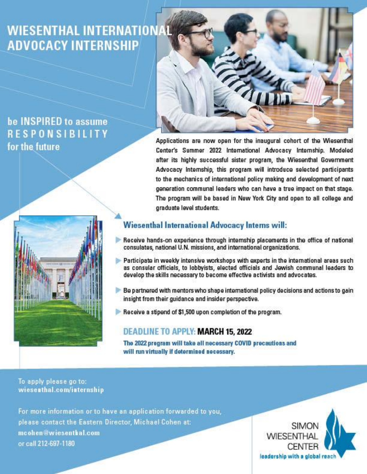## **WIESENTHAL INTERNATIONAL ADVOCACY INTERNSHIP**

### be INSPIRED to assume **RESPONSIBILITY** for the future





Applications are now open for the inaugural cohort of the Wiesenthal Center's Summer 2022 International Advocacy Internship. Modeled after its highly successful sister program, the Wiesenthal Government Advocacy Internship, this program will introduce selected participants to the mechanics of international policy making and development of next generation communal leaders who can have a true impact on that stage. The program will be based in New York City and open to all college and graduate level students.

#### **Wiesenthal International Advocacy Interns will:**

- Receive hands-on experience through internship placements in the office of national consulates, national U.N. missions, and international organizations.
- Participate in weekly intensive workshops with experts in the international areas such as consular officials, to lobbyists, elected officials and Jewish communal leaders to develop the skills necessary to become effective activists and advocates.
- Be partnered with mentors who shape international policy decisions and actions to gain insight from their guidance and insider perspective.
- Receive a stipend of \$1,500 upon completion of the program.

#### **DEADLINE TO APPLY: MARCH 15, 2022**

The 2022 program will take all necessary COVID precautions and will run virtually if determined necessary.

#### To apply please go to: wieseathal.com/internship

For more information or to have an application forwarded to you, please contact the Eastern Director, Michael Cohen at: mcohen@wiesenthal.com or call 212-697-1180

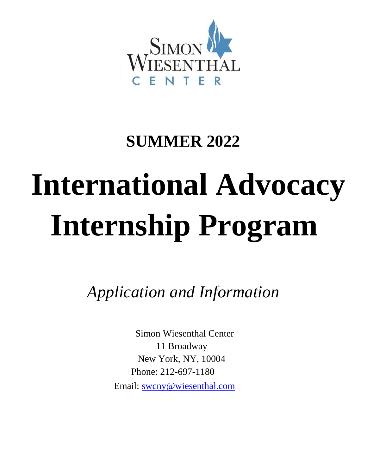

# **SUMMER 2022**

# **International Advocacy Internship Program**

*Application and Information*

Simon Wiesenthal Center 11 Broadway New York, NY, 10004 Phone: 212-697-1180 Email: swcny@wiesenthal.com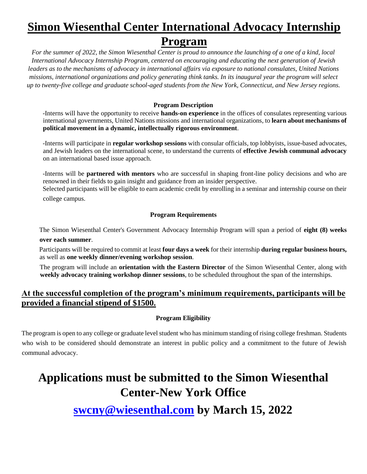## **Simon Wiesenthal Center International Advocacy Internship Program**

*For the summer of 2022, the Simon Wiesenthal Center is proud to announce the launching of a one of a kind, local International Advocacy Internship Program, centered on encouraging and educating the next generation of Jewish leaders as to the mechanisms of advocacy in international affairs via exposure to national consulates, United Nations missions, international organizations and policy generating think tanks. In its inaugural year the program will select up to twenty-five college and graduate school-aged students from the New York, Connecticut, and New Jersey regions.*

#### **Program Description**

-Interns will have the opportunity to receive **hands-on experience** in the offices of consulates representing various international governments, United Nations missions and international organizations, to **learn about mechanisms of political movement in a dynamic, intellectually rigorous environment**.

-Interns will participate in **regular workshop sessions** with consular officials, top lobbyists, issue-based advocates, and Jewish leaders on the international scene, to understand the currents of **effective Jewish communal advocacy**  on an international based issue approach.

-Interns will be **partnered with mentors** who are successful in shaping front-line policy decisions and who are renowned in their fields to gain insight and guidance from an insider perspective.

Selected participants will be eligible to earn academic credit by enrolling in a seminar and internship course on their college campus.

#### **Program Requirements**

The Simon Wiesenthal Center's Government Advocacy Internship Program will span a period of **eight (8) weeks over each summer**.

Participants will be required to commit at least **four days a week** for their internship **during regular business hours,** as well as **one weekly dinner/evening workshop session**.

The program will include an **orientation with the Eastern Director** of the Simon Wiesenthal Center, along with **weekly advocacy training workshop dinner sessions**, to be scheduled throughout the span of the internships.

#### **At the successful completion of the program's minimum requirements, participants will be provided a financial stipend of \$1500.**

#### **Program Eligibility**

The program is open to any college or graduate level student who has minimum standing of rising college freshman. Students who wish to be considered should demonstrate an interest in public policy and a commitment to the future of Jewish communal advocacy.

## **Applications must be submitted to the Simon Wiesenthal Center-New York Office**

**swcny@wiesenthal.com by March 15, 2022**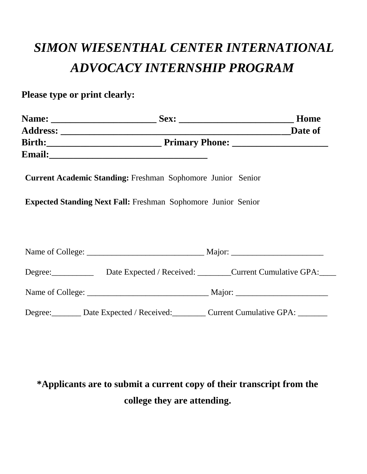# *SIMON WIESENTHAL CENTER INTERNATIONAL ADVOCACY INTERNSHIP PROGRAM*

**Please type or print clearly:** 

|  |                                                                      | Home |
|--|----------------------------------------------------------------------|------|
|  |                                                                      |      |
|  |                                                                      |      |
|  |                                                                      |      |
|  | <b>Current Academic Standing: Freshman Sophomore Junior Senior</b>   |      |
|  | <b>Expected Standing Next Fall:</b> Freshman Sophomore Junior Senior |      |
|  |                                                                      |      |
|  |                                                                      |      |
|  |                                                                      |      |
|  | Degree: Date Expected / Received: Current Cumulative GPA:            |      |
|  |                                                                      |      |
|  | Degree: Date Expected / Received: Current Cumulative GPA: _____      |      |

## **\*Applicants are to submit a current copy of their transcript from the college they are attending.**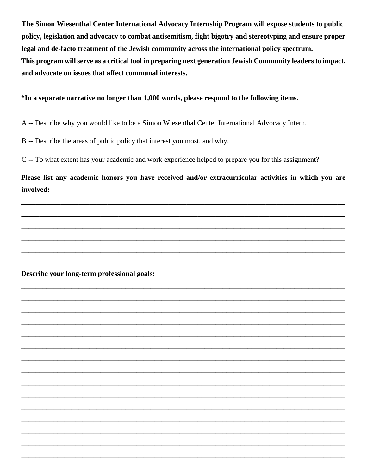**The Simon Wiesenthal Center International Advocacy Internship Program will expose students to public policy, legislation and advocacy to combat antisemitism, fight bigotry and stereotyping and ensure proper legal and de-facto treatment of the Jewish community across the international policy spectrum. This program will serve as a critical tool in preparing next generation Jewish Community leaders to impact, and advocate on issues that affect communal interests.** 

**\*In a separate narrative no longer than 1,000 words, please respond to the following items.**

A -- Describe why you would like to be a Simon Wiesenthal Center International Advocacy Intern.

B -- Describe the areas of public policy that interest you most, and why.

C -- To what extent has your academic and work experience helped to prepare you for this assignment?

**Please list any academic honors you have received and/or extracurricular activities in which you are involved:** 

**\_\_\_\_\_\_\_\_\_\_\_\_\_\_\_\_\_\_\_\_\_\_\_\_\_\_\_\_\_\_\_\_\_\_\_\_\_\_\_\_\_\_\_\_\_\_\_\_\_\_\_\_\_\_\_\_\_\_\_\_\_\_\_\_\_\_\_\_\_\_\_\_\_\_\_\_\_\_\_\_\_\_\_\_\_\_\_\_\_\_**

**\_\_\_\_\_\_\_\_\_\_\_\_\_\_\_\_\_\_\_\_\_\_\_\_\_\_\_\_\_\_\_\_\_\_\_\_\_\_\_\_\_\_\_\_\_\_\_\_\_\_\_\_\_\_\_\_\_\_\_\_\_\_\_\_\_\_\_\_\_\_\_\_\_\_\_\_\_\_\_\_\_\_\_\_\_\_\_\_\_\_**

**\_\_\_\_\_\_\_\_\_\_\_\_\_\_\_\_\_\_\_\_\_\_\_\_\_\_\_\_\_\_\_\_\_\_\_\_\_\_\_\_\_\_\_\_\_\_\_\_\_\_\_\_\_\_\_\_\_\_\_\_\_\_\_\_\_\_\_\_\_\_\_\_\_\_\_\_\_\_\_\_\_\_\_\_\_\_\_\_\_\_**

**\_\_\_\_\_\_\_\_\_\_\_\_\_\_\_\_\_\_\_\_\_\_\_\_\_\_\_\_\_\_\_\_\_\_\_\_\_\_\_\_\_\_\_\_\_\_\_\_\_\_\_\_\_\_\_\_\_\_\_\_\_\_\_\_\_\_\_\_\_\_\_\_\_\_\_\_\_\_\_\_\_\_\_\_\_\_\_\_\_\_**

**\_\_\_\_\_\_\_\_\_\_\_\_\_\_\_\_\_\_\_\_\_\_\_\_\_\_\_\_\_\_\_\_\_\_\_\_\_\_\_\_\_\_\_\_\_\_\_\_\_\_\_\_\_\_\_\_\_\_\_\_\_\_\_\_\_\_\_\_\_\_\_\_\_\_\_\_\_\_\_\_\_\_\_\_\_\_\_\_\_\_**

**\_\_\_\_\_\_\_\_\_\_\_\_\_\_\_\_\_\_\_\_\_\_\_\_\_\_\_\_\_\_\_\_\_\_\_\_\_\_\_\_\_\_\_\_\_\_\_\_\_\_\_\_\_\_\_\_\_\_\_\_\_\_\_\_\_\_\_\_\_\_\_\_\_\_\_\_\_\_\_\_\_\_\_\_\_\_\_\_\_\_**

**\_\_\_\_\_\_\_\_\_\_\_\_\_\_\_\_\_\_\_\_\_\_\_\_\_\_\_\_\_\_\_\_\_\_\_\_\_\_\_\_\_\_\_\_\_\_\_\_\_\_\_\_\_\_\_\_\_\_\_\_\_\_\_\_\_\_\_\_\_\_\_\_\_\_\_\_\_\_\_\_\_\_\_\_\_\_\_\_\_\_**

**\_\_\_\_\_\_\_\_\_\_\_\_\_\_\_\_\_\_\_\_\_\_\_\_\_\_\_\_\_\_\_\_\_\_\_\_\_\_\_\_\_\_\_\_\_\_\_\_\_\_\_\_\_\_\_\_\_\_\_\_\_\_\_\_\_\_\_\_\_\_\_\_\_\_\_\_\_\_\_\_\_\_\_\_\_\_\_\_\_\_**

**\_\_\_\_\_\_\_\_\_\_\_\_\_\_\_\_\_\_\_\_\_\_\_\_\_\_\_\_\_\_\_\_\_\_\_\_\_\_\_\_\_\_\_\_\_\_\_\_\_\_\_\_\_\_\_\_\_\_\_\_\_\_\_\_\_\_\_\_\_\_\_\_\_\_\_\_\_\_\_\_\_\_\_\_\_\_\_\_\_\_**

**\_\_\_\_\_\_\_\_\_\_\_\_\_\_\_\_\_\_\_\_\_\_\_\_\_\_\_\_\_\_\_\_\_\_\_\_\_\_\_\_\_\_\_\_\_\_\_\_\_\_\_\_\_\_\_\_\_\_\_\_\_\_\_\_\_\_\_\_\_\_\_\_\_\_\_\_\_\_\_\_\_\_\_\_\_\_\_\_\_\_**

**\_\_\_\_\_\_\_\_\_\_\_\_\_\_\_\_\_\_\_\_\_\_\_\_\_\_\_\_\_\_\_\_\_\_\_\_\_\_\_\_\_\_\_\_\_\_\_\_\_\_\_\_\_\_\_\_\_\_\_\_\_\_\_\_\_\_\_\_\_\_\_\_\_\_\_\_\_\_\_\_\_\_\_\_\_\_\_\_\_\_**

**\_\_\_\_\_\_\_\_\_\_\_\_\_\_\_\_\_\_\_\_\_\_\_\_\_\_\_\_\_\_\_\_\_\_\_\_\_\_\_\_\_\_\_\_\_\_\_\_\_\_\_\_\_\_\_\_\_\_\_\_\_\_\_\_\_\_\_\_\_\_\_\_\_\_\_\_\_\_\_\_\_\_\_\_\_\_\_\_\_\_**

**\_\_\_\_\_\_\_\_\_\_\_\_\_\_\_\_\_\_\_\_\_\_\_\_\_\_\_\_\_\_\_\_\_\_\_\_\_\_\_\_\_\_\_\_\_\_\_\_\_\_\_\_\_\_\_\_\_\_\_\_\_\_\_\_\_\_\_\_\_\_\_\_\_\_\_\_\_\_\_\_\_\_\_\_\_\_\_\_\_\_**

**\_\_\_\_\_\_\_\_\_\_\_\_\_\_\_\_\_\_\_\_\_\_\_\_\_\_\_\_\_\_\_\_\_\_\_\_\_\_\_\_\_\_\_\_\_\_\_\_\_\_\_\_\_\_\_\_\_\_\_\_\_\_\_\_\_\_\_\_\_\_\_\_\_\_\_\_\_\_\_\_\_\_\_\_\_\_\_\_\_\_**

**\_\_\_\_\_\_\_\_\_\_\_\_\_\_\_\_\_\_\_\_\_\_\_\_\_\_\_\_\_\_\_\_\_\_\_\_\_\_\_\_\_\_\_\_\_\_\_\_\_\_\_\_\_\_\_\_\_\_\_\_\_\_\_\_\_\_\_\_\_\_\_\_\_\_\_\_\_\_\_\_\_\_\_\_\_\_\_\_\_\_**

**\_\_\_\_\_\_\_\_\_\_\_\_\_\_\_\_\_\_\_\_\_\_\_\_\_\_\_\_\_\_\_\_\_\_\_\_\_\_\_\_\_\_\_\_\_\_\_\_\_\_\_\_\_\_\_\_\_\_\_\_\_\_\_\_\_\_\_\_\_\_\_\_\_\_\_\_\_\_\_\_\_\_\_\_\_\_\_\_\_\_**

**\_\_\_\_\_\_\_\_\_\_\_\_\_\_\_\_\_\_\_\_\_\_\_\_\_\_\_\_\_\_\_\_\_\_\_\_\_\_\_\_\_\_\_\_\_\_\_\_\_\_\_\_\_\_\_\_\_\_\_\_\_\_\_\_\_\_\_\_\_\_\_\_\_\_\_\_\_\_\_\_\_\_\_\_\_\_\_\_\_\_**

**\_\_\_\_\_\_\_\_\_\_\_\_\_\_\_\_\_\_\_\_\_\_\_\_\_\_\_\_\_\_\_\_\_\_\_\_\_\_\_\_\_\_\_\_\_\_\_\_\_\_\_\_\_\_\_\_\_\_\_\_\_\_\_\_\_\_\_\_\_\_\_\_\_\_\_\_\_\_\_\_\_\_\_\_\_\_\_\_\_\_**

**\_\_\_\_\_\_\_\_\_\_\_\_\_\_\_\_\_\_\_\_\_\_\_\_\_\_\_\_\_\_\_\_\_\_\_\_\_\_\_\_\_\_\_\_\_\_\_\_\_\_\_\_\_\_\_\_\_\_\_\_\_\_\_\_\_\_\_\_\_\_\_\_\_\_\_\_\_\_\_\_\_\_\_\_\_\_\_\_\_\_**

**\_\_\_\_\_\_\_\_\_\_\_\_\_\_\_\_\_\_\_\_\_\_\_\_\_\_\_\_\_\_\_\_\_\_\_\_\_\_\_\_\_\_\_\_\_\_\_\_\_\_\_\_\_\_\_\_\_\_\_\_\_\_\_\_\_\_\_\_\_\_\_\_\_\_\_\_\_\_\_\_\_\_\_\_\_\_\_\_\_\_**

**Describe your long-term professional goals:**